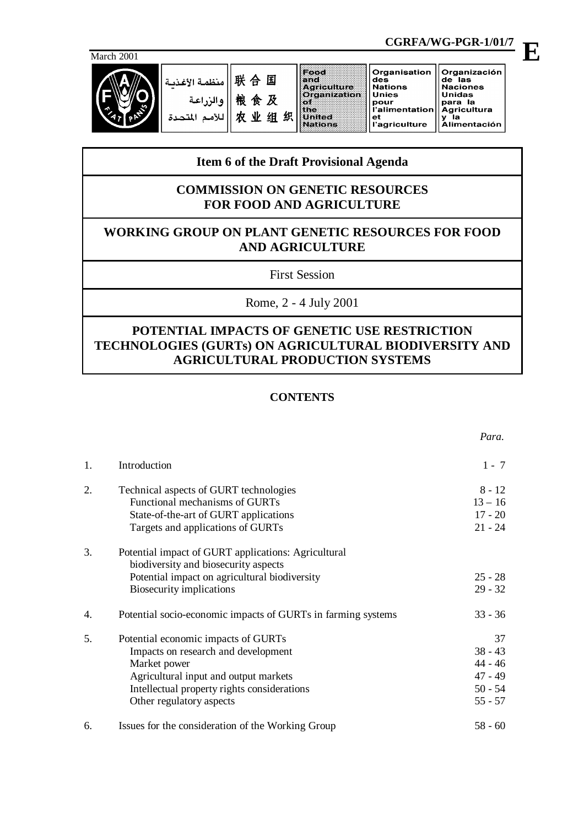

联合国 منظمة الأغذد 粮食及 والن 农业组织  $511$ 

|            |               |           |                                                              |                                                                                        | CGRFA/WG-PGR-1/01/7                                                   |  |
|------------|---------------|-----------|--------------------------------------------------------------|----------------------------------------------------------------------------------------|-----------------------------------------------------------------------|--|
| March 2001 |               |           |                                                              |                                                                                        |                                                                       |  |
|            | منظمة الأغذمة | 联合国<br>食及 | $F$ ood<br>and<br>Agriculture<br><b>Crganization</b><br>tine | Organisation<br>des<br><b>Nations</b><br>Unies<br>pour<br>l'alimentation   Agricultura | Organización<br>de las<br><b>Naciones</b><br><b>Unidas</b><br>para la |  |

et<br>l'agriculture

# Agricultura<br>y la<br>Alimentación

 *Para.*

# **Item 6 of the Draft Provisional Agenda**

**Helled** 

Nations

# **COMMISSION ON GENETIC RESOURCES FOR FOOD AND AGRICULTURE**

# **WORKING GROUP ON PLANT GENETIC RESOURCES FOR FOOD AND AGRICULTURE**

First Session

Rome, 2 - 4 July 2001

# **POTENTIAL IMPACTS OF GENETIC USE RESTRICTION TECHNOLOGIES (GURTs) ON AGRICULTURAL BIODIVERSITY AND AGRICULTURAL PRODUCTION SYSTEMS**

# **CONTENTS**

| 1. | Introduction                                                 | $1 - 7$   |
|----|--------------------------------------------------------------|-----------|
| 2. | Technical aspects of GURT technologies                       | $8 - 12$  |
|    | Functional mechanisms of GURTs                               | $13 - 16$ |
|    | State-of-the-art of GURT applications                        | $17 - 20$ |
|    | Targets and applications of GURTs                            | $21 - 24$ |
| 3. | Potential impact of GURT applications: Agricultural          |           |
|    | biodiversity and biosecurity aspects                         |           |
|    | Potential impact on agricultural biodiversity                | $25 - 28$ |
|    | Biosecurity implications                                     | $29 - 32$ |
| 4. | Potential socio-economic impacts of GURTs in farming systems | $33 - 36$ |
| 5. | Potential economic impacts of GURTs                          | 37        |
|    | Impacts on research and development                          | $38 - 43$ |
|    | Market power                                                 | 44 - 46   |
|    | Agricultural input and output markets                        | $47 - 49$ |
|    | Intellectual property rights considerations                  | $50 - 54$ |
|    | Other regulatory aspects                                     | $55 - 57$ |
| 6. | Issues for the consideration of the Working Group            | $58 - 60$ |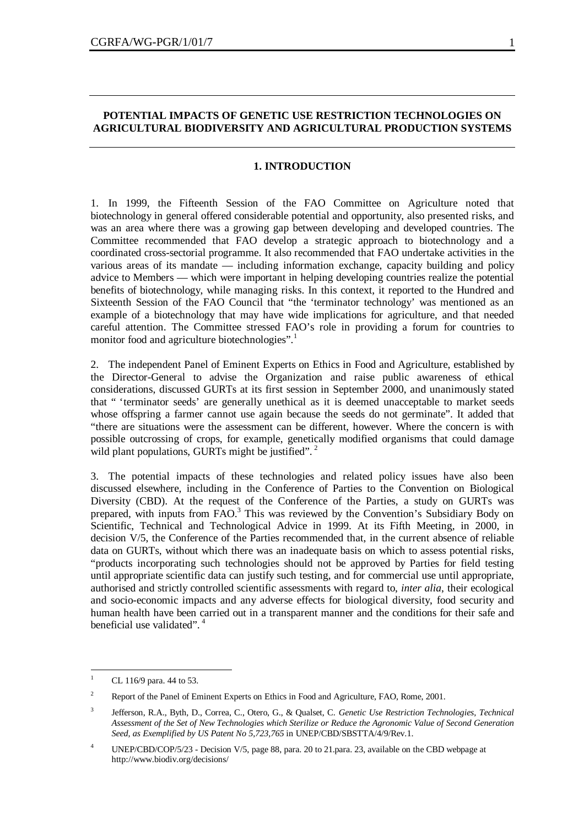# **POTENTIAL IMPACTS OF GENETIC USE RESTRICTION TECHNOLOGIES ON AGRICULTURAL BIODIVERSITY AND AGRICULTURAL PRODUCTION SYSTEMS**

#### **1. INTRODUCTION**

1. In 1999, the Fifteenth Session of the FAO Committee on Agriculture noted that biotechnology in general offered considerable potential and opportunity, also presented risks, and was an area where there was a growing gap between developing and developed countries. The Committee recommended that FAO develop a strategic approach to biotechnology and a coordinated cross-sectorial programme. It also recommended that FAO undertake activities in the various areas of its mandate — including information exchange, capacity building and policy advice to Members — which were important in helping developing countries realize the potential benefits of biotechnology, while managing risks. In this context, it reported to the Hundred and Sixteenth Session of the FAO Council that "the 'terminator technology' was mentioned as an example of a biotechnology that may have wide implications for agriculture, and that needed careful attention. The Committee stressed FAO's role in providing a forum for countries to monitor food and agriculture biotechnologies".<sup>1</sup>

2. The independent Panel of Eminent Experts on Ethics in Food and Agriculture, established by the Director-General to advise the Organization and raise public awareness of ethical considerations, discussed GURTs at its first session in September 2000, and unanimously stated that " 'terminator seeds' are generally unethical as it is deemed unacceptable to market seeds whose offspring a farmer cannot use again because the seeds do not germinate". It added that "there are situations were the assessment can be different, however. Where the concern is with possible outcrossing of crops, for example, genetically modified organisms that could damage wild plant populations, GURTs might be justified".<sup>2</sup>

3. The potential impacts of these technologies and related policy issues have also been discussed elsewhere, including in the Conference of Parties to the Convention on Biological Diversity (CBD). At the request of the Conference of the Parties, a study on GURTs was prepared, with inputs from FAO.<sup>3</sup> This was reviewed by the Convention's Subsidiary Body on Scientific, Technical and Technological Advice in 1999. At its Fifth Meeting, in 2000, in decision V/5, the Conference of the Parties recommended that, in the current absence of reliable data on GURTs, without which there was an inadequate basis on which to assess potential risks, "products incorporating such technologies should not be approved by Parties for field testing until appropriate scientific data can justify such testing, and for commercial use until appropriate, authorised and strictly controlled scientific assessments with regard to, *inter alia*, their ecological and socio-economic impacts and any adverse effects for biological diversity, food security and human health have been carried out in a transparent manner and the conditions for their safe and beneficial use validated".<sup>4</sup>

 $\overline{a}$ 

CL 116/9 para. 44 to 53.

<sup>&</sup>lt;sup>2</sup> Report of the Panel of Eminent Experts on Ethics in Food and Agriculture, FAO, Rome, 2001.

<sup>3</sup> Jefferson, R.A., Byth, D., Correa, C., Otero, G., & Qualset, C. *Genetic Use Restriction Technologies, Technical Assessment of the Set of New Technologies which Sterilize or Reduce the Agronomic Value of Second Generation Seed, as Exemplified by US Patent No 5,723,765* in UNEP/CBD/SBSTTA/4/9/Rev.1.

<sup>&</sup>lt;sup>4</sup> UNEP/CBD/COP/5/23 - Decision V/5, page 88, para. 20 to 21.para. 23, available on the CBD webpage at http://www.biodiv.org/decisions/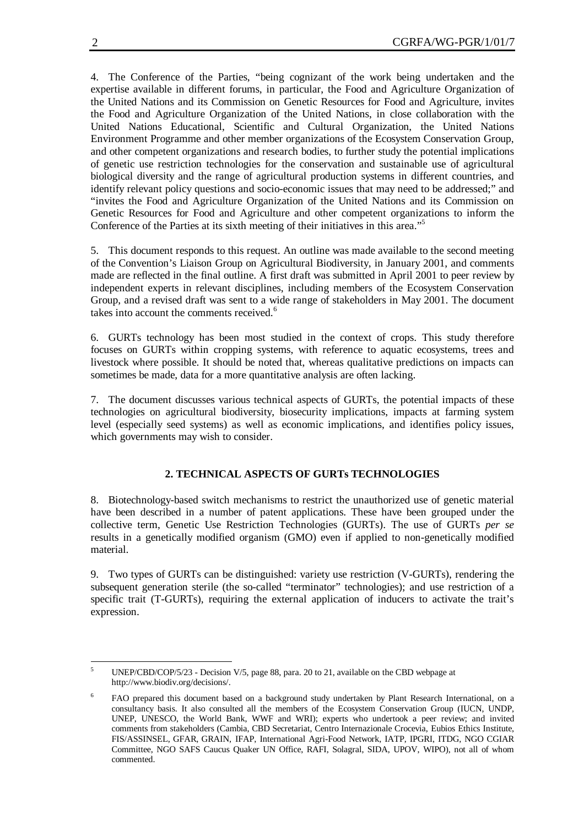4. The Conference of the Parties, "being cognizant of the work being undertaken and the expertise available in different forums, in particular, the Food and Agriculture Organization of the United Nations and its Commission on Genetic Resources for Food and Agriculture, invites the Food and Agriculture Organization of the United Nations, in close collaboration with the United Nations Educational, Scientific and Cultural Organization, the United Nations Environment Programme and other member organizations of the Ecosystem Conservation Group, and other competent organizations and research bodies, to further study the potential implications of genetic use restriction technologies for the conservation and sustainable use of agricultural biological diversity and the range of agricultural production systems in different countries, and identify relevant policy questions and socio-economic issues that may need to be addressed;" and "invites the Food and Agriculture Organization of the United Nations and its Commission on Genetic Resources for Food and Agriculture and other competent organizations to inform the Conference of the Parties at its sixth meeting of their initiatives in this area."<sup>5</sup>

5. This document responds to this request. An outline was made available to the second meeting of the Convention's Liaison Group on Agricultural Biodiversity, in January 2001, and comments made are reflected in the final outline. A first draft was submitted in April 2001 to peer review by independent experts in relevant disciplines, including members of the Ecosystem Conservation Group, and a revised draft was sent to a wide range of stakeholders in May 2001. The document takes into account the comments received.<sup>6</sup>

6. GURTs technology has been most studied in the context of crops. This study therefore focuses on GURTs within cropping systems, with reference to aquatic ecosystems, trees and livestock where possible. It should be noted that, whereas qualitative predictions on impacts can sometimes be made, data for a more quantitative analysis are often lacking.

7. The document discusses various technical aspects of GURTs, the potential impacts of these technologies on agricultural biodiversity, biosecurity implications, impacts at farming system level (especially seed systems) as well as economic implications, and identifies policy issues, which governments may wish to consider.

# **2. TECHNICAL ASPECTS OF GURTs TECHNOLOGIES**

8. Biotechnology-based switch mechanisms to restrict the unauthorized use of genetic material have been described in a number of patent applications. These have been grouped under the collective term, Genetic Use Restriction Technologies (GURTs). The use of GURTs *per se* results in a genetically modified organism (GMO) even if applied to non-genetically modified material.

9. Two types of GURTs can be distinguished: variety use restriction (V-GURTs), rendering the subsequent generation sterile (the so-called "terminator" technologies); and use restriction of a specific trait (T-GURTs), requiring the external application of inducers to activate the trait's expression.

 $\overline{a}$ 

UNEP/CBD/COP/5/23 - Decision V/5, page 88, para. 20 to 21, available on the CBD webpage at http://www.biodiv.org/decisions/.

<sup>6</sup> FAO prepared this document based on a background study undertaken by Plant Research International, on a consultancy basis. It also consulted all the members of the Ecosystem Conservation Group (IUCN, UNDP, UNEP, UNESCO, the World Bank, WWF and WRI); experts who undertook a peer review; and invited comments from stakeholders (Cambia, CBD Secretariat, Centro Internazionale Crocevia, Eubios Ethics Institute, FIS/ASSINSEL, GFAR, GRAIN, IFAP, International Agri-Food Network, IATP, IPGRI, ITDG, NGO CGIAR Committee, NGO SAFS Caucus Quaker UN Office, RAFI, Solagral, SIDA, UPOV, WIPO), not all of whom commented.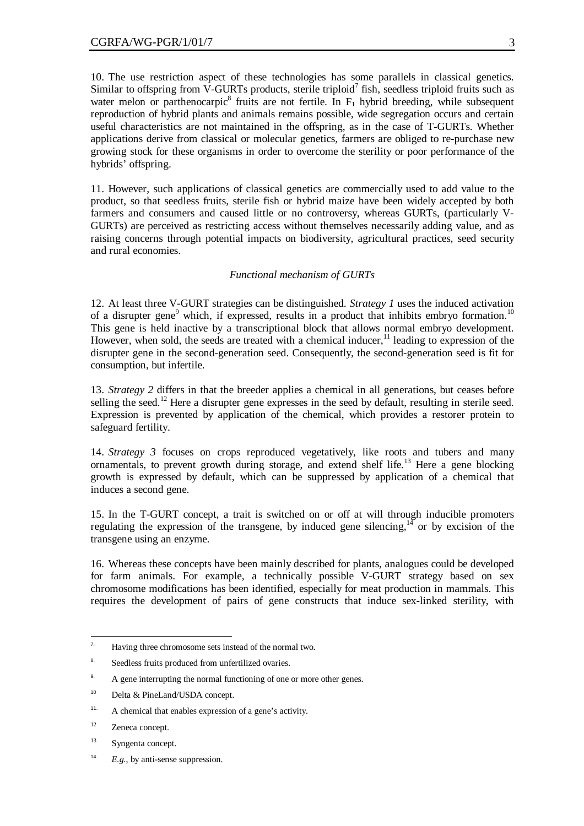10. The use restriction aspect of these technologies has some parallels in classical genetics. Similar to offspring from  $\overline{V}$ -GURTs products, sterile triploid<sup>7</sup> fish, seedless triploid fruits such as water melon or parthenocarpic<sup>8</sup> fruits are not fertile. In  $F_1$  hybrid breeding, while subsequent reproduction of hybrid plants and animals remains possible, wide segregation occurs and certain useful characteristics are not maintained in the offspring, as in the case of T-GURTs. Whether applications derive from classical or molecular genetics, farmers are obliged to re-purchase new growing stock for these organisms in order to overcome the sterility or poor performance of the hybrids' offspring.

11. However, such applications of classical genetics are commercially used to add value to the product, so that seedless fruits, sterile fish or hybrid maize have been widely accepted by both farmers and consumers and caused little or no controversy, whereas GURTs, (particularly V-GURTs) are perceived as restricting access without themselves necessarily adding value, and as raising concerns through potential impacts on biodiversity, agricultural practices, seed security and rural economies.

## *Functional mechanism of GURTs*

12. At least three V-GURT strategies can be distinguished. *Strategy 1* uses the induced activation of a disrupter gene<sup>9</sup> which, if expressed, results in a product that inhibits embryo formation.<sup>10</sup> This gene is held inactive by a transcriptional block that allows normal embryo development. However, when sold, the seeds are treated with a chemical inducer, $<sup>11</sup>$  leading to expression of the</sup> disrupter gene in the second-generation seed. Consequently, the second-generation seed is fit for consumption, but infertile.

13. *Strategy 2* differs in that the breeder applies a chemical in all generations, but ceases before selling the seed.<sup>12</sup> Here a disrupter gene expresses in the seed by default, resulting in sterile seed. Expression is prevented by application of the chemical, which provides a restorer protein to safeguard fertility.

14. *Strategy 3* focuses on crops reproduced vegetatively, like roots and tubers and many ornamentals, to prevent growth during storage, and extend shelf life.<sup>13</sup> Here a gene blocking growth is expressed by default, which can be suppressed by application of a chemical that induces a second gene.

15. In the T-GURT concept, a trait is switched on or off at will through inducible promoters regulating the expression of the transgene, by induced gene silencing, $14$  or by excision of the transgene using an enzyme.

16. Whereas these concepts have been mainly described for plants, analogues could be developed for farm animals. For example, a technically possible V-GURT strategy based on sex chromosome modifications has been identified, especially for meat production in mammals. This requires the development of pairs of gene constructs that induce sex-linked sterility, with

 $\bar{z}$ Having three chromosome sets instead of the normal two.

<sup>8.</sup> Seedless fruits produced from unfertilized ovaries.

<sup>&</sup>lt;sup>9.</sup> A gene interrupting the normal functioning of one or more other genes.

<sup>10</sup> Delta & PineLand/USDA concept.

<sup>11.</sup> A chemical that enables expression of a gene's activity.

<sup>12</sup> Zeneca concept.

<sup>13</sup> Syngenta concept.

<sup>14.</sup> *E.g*., by anti-sense suppression.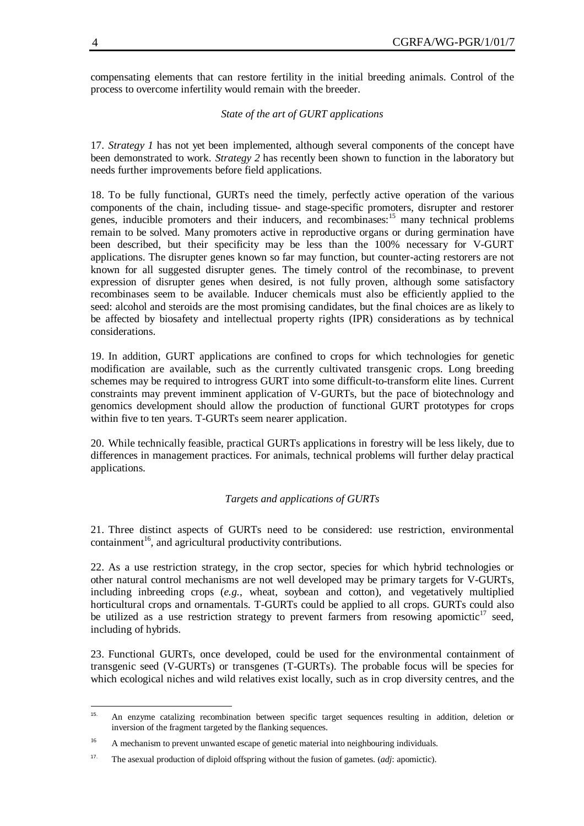compensating elements that can restore fertility in the initial breeding animals. Control of the process to overcome infertility would remain with the breeder.

## *State of the art of GURT applications*

17. *Strategy 1* has not yet been implemented, although several components of the concept have been demonstrated to work. *Strategy 2* has recently been shown to function in the laboratory but needs further improvements before field applications.

18. To be fully functional, GURTs need the timely, perfectly active operation of the various components of the chain, including tissue- and stage-specific promoters, disrupter and restorer genes, inducible promoters and their inducers, and recombinases:<sup>15</sup> many technical problems remain to be solved. Many promoters active in reproductive organs or during germination have been described, but their specificity may be less than the 100% necessary for V-GURT applications. The disrupter genes known so far may function, but counter-acting restorers are not known for all suggested disrupter genes. The timely control of the recombinase, to prevent expression of disrupter genes when desired, is not fully proven, although some satisfactory recombinases seem to be available. Inducer chemicals must also be efficiently applied to the seed: alcohol and steroids are the most promising candidates, but the final choices are as likely to be affected by biosafety and intellectual property rights (IPR) considerations as by technical considerations.

19. In addition, GURT applications are confined to crops for which technologies for genetic modification are available, such as the currently cultivated transgenic crops. Long breeding schemes may be required to introgress GURT into some difficult-to-transform elite lines. Current constraints may prevent imminent application of V-GURTs, but the pace of biotechnology and genomics development should allow the production of functional GURT prototypes for crops within five to ten years. T-GURTs seem nearer application.

20. While technically feasible, practical GURTs applications in forestry will be less likely, due to differences in management practices. For animals, technical problems will further delay practical applications.

# *Targets and applications of GURTs*

21. Three distinct aspects of GURTs need to be considered: use restriction, environmental  $\alpha$ containment<sup>16</sup>, and agricultural productivity contributions.

22. As a use restriction strategy, in the crop sector, species for which hybrid technologies or other natural control mechanisms are not well developed may be primary targets for V-GURTs, including inbreeding crops (*e.g.*, wheat, soybean and cotton), and vegetatively multiplied horticultural crops and ornamentals. T-GURTs could be applied to all crops. GURTs could also be utilized as a use restriction strategy to prevent farmers from resowing apomictic<sup>17</sup> seed, including of hybrids.

23. Functional GURTs, once developed, could be used for the environmental containment of transgenic seed (V-GURTs) or transgenes (T-GURTs). The probable focus will be species for which ecological niches and wild relatives exist locally, such as in crop diversity centres, and the

 $15.$ 15. An enzyme catalizing recombination between specific target sequences resulting in addition, deletion or inversion of the fragment targeted by the flanking sequences.

<sup>&</sup>lt;sup>16</sup> A mechanism to prevent unwanted escape of genetic material into neighbouring individuals.

<sup>17.</sup> The asexual production of diploid offspring without the fusion of gametes. (*adj*: apomictic).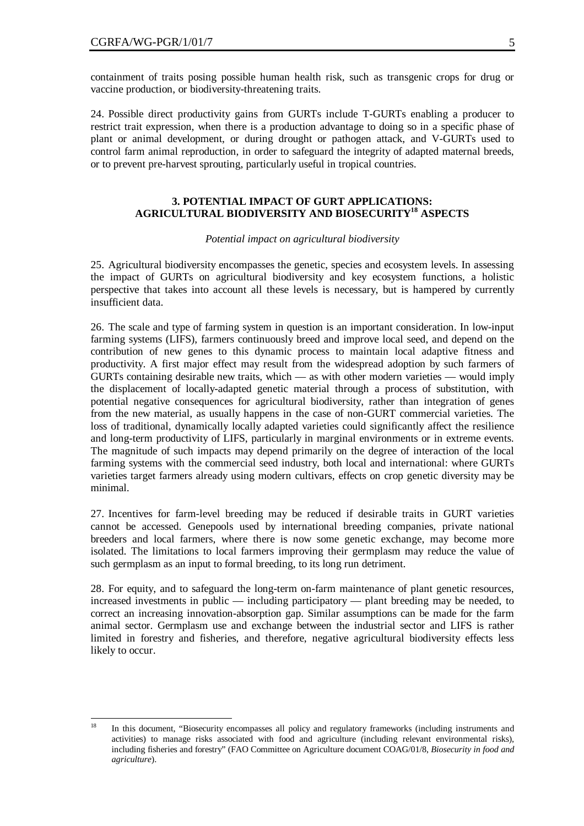containment of traits posing possible human health risk, such as transgenic crops for drug or vaccine production, or biodiversity-threatening traits.

24. Possible direct productivity gains from GURTs include T-GURTs enabling a producer to restrict trait expression, when there is a production advantage to doing so in a specific phase of plant or animal development, or during drought or pathogen attack, and V-GURTs used to control farm animal reproduction, in order to safeguard the integrity of adapted maternal breeds, or to prevent pre-harvest sprouting, particularly useful in tropical countries.

# **3. POTENTIAL IMPACT OF GURT APPLICATIONS: AGRICULTURAL BIODIVERSITY AND BIOSECURITY<sup>18</sup> ASPECTS**

*Potential impact on agricultural biodiversity*

25. Agricultural biodiversity encompasses the genetic, species and ecosystem levels. In assessing the impact of GURTs on agricultural biodiversity and key ecosystem functions, a holistic perspective that takes into account all these levels is necessary, but is hampered by currently insufficient data.

26. The scale and type of farming system in question is an important consideration. In low-input farming systems (LIFS), farmers continuously breed and improve local seed, and depend on the contribution of new genes to this dynamic process to maintain local adaptive fitness and productivity. A first major effect may result from the widespread adoption by such farmers of GURTs containing desirable new traits, which — as with other modern varieties — would imply the displacement of locally-adapted genetic material through a process of substitution, with potential negative consequences for agricultural biodiversity, rather than integration of genes from the new material, as usually happens in the case of non-GURT commercial varieties. The loss of traditional, dynamically locally adapted varieties could significantly affect the resilience and long-term productivity of LIFS, particularly in marginal environments or in extreme events. The magnitude of such impacts may depend primarily on the degree of interaction of the local farming systems with the commercial seed industry, both local and international: where GURTs varieties target farmers already using modern cultivars, effects on crop genetic diversity may be minimal.

27. Incentives for farm-level breeding may be reduced if desirable traits in GURT varieties cannot be accessed. Genepools used by international breeding companies, private national breeders and local farmers, where there is now some genetic exchange, may become more isolated. The limitations to local farmers improving their germplasm may reduce the value of such germplasm as an input to formal breeding, to its long run detriment.

28. For equity, and to safeguard the long-term on-farm maintenance of plant genetic resources, increased investments in public — including participatory — plant breeding may be needed, to correct an increasing innovation-absorption gap. Similar assumptions can be made for the farm animal sector. Germplasm use and exchange between the industrial sector and LIFS is rather limited in forestry and fisheries, and therefore, negative agricultural biodiversity effects less likely to occur.

<sup>18</sup> <sup>18</sup> In this document, "Biosecurity encompasses all policy and regulatory frameworks (including instruments and activities) to manage risks associated with food and agriculture (including relevant environmental risks), including fisheries and forestry" (FAO Committee on Agriculture document COAG/01/8, *Biosecurity in food and agriculture*).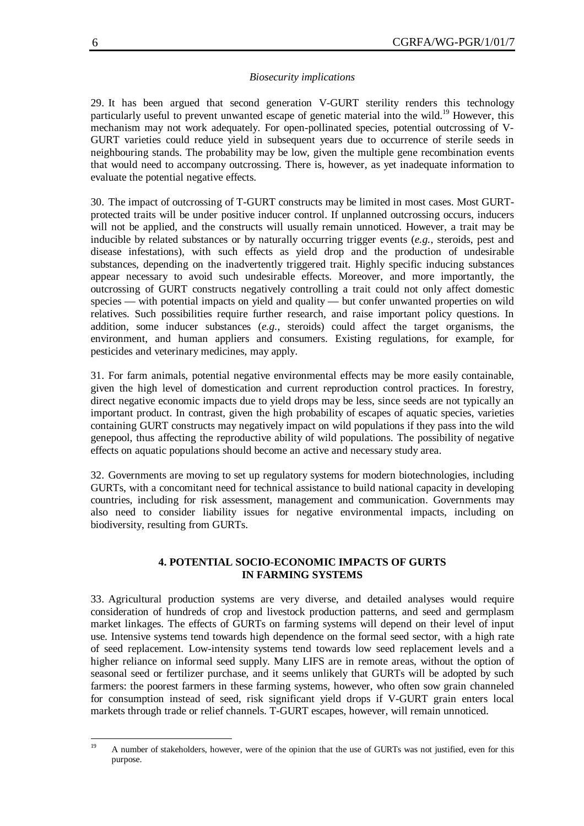#### *Biosecurity implications*

29. It has been argued that second generation V-GURT sterility renders this technology particularly useful to prevent unwanted escape of genetic material into the wild.<sup>19</sup> However, this mechanism may not work adequately. For open-pollinated species, potential outcrossing of V-GURT varieties could reduce yield in subsequent years due to occurrence of sterile seeds in neighbouring stands. The probability may be low, given the multiple gene recombination events that would need to accompany outcrossing. There is, however, as yet inadequate information to evaluate the potential negative effects.

30. The impact of outcrossing of T-GURT constructs may be limited in most cases. Most GURTprotected traits will be under positive inducer control. If unplanned outcrossing occurs, inducers will not be applied, and the constructs will usually remain unnoticed. However, a trait may be inducible by related substances or by naturally occurring trigger events (*e.g.*, steroids, pest and disease infestations), with such effects as yield drop and the production of undesirable substances, depending on the inadvertently triggered trait. Highly specific inducing substances appear necessary to avoid such undesirable effects. Moreover, and more importantly, the outcrossing of GURT constructs negatively controlling a trait could not only affect domestic species — with potential impacts on yield and quality — but confer unwanted properties on wild relatives. Such possibilities require further research, and raise important policy questions. In addition, some inducer substances (*e.g.*, steroids) could affect the target organisms, the environment, and human appliers and consumers. Existing regulations, for example, for pesticides and veterinary medicines, may apply.

31. For farm animals, potential negative environmental effects may be more easily containable, given the high level of domestication and current reproduction control practices. In forestry, direct negative economic impacts due to yield drops may be less, since seeds are not typically an important product. In contrast, given the high probability of escapes of aquatic species, varieties containing GURT constructs may negatively impact on wild populations if they pass into the wild genepool, thus affecting the reproductive ability of wild populations. The possibility of negative effects on aquatic populations should become an active and necessary study area.

32. Governments are moving to set up regulatory systems for modern biotechnologies, including GURTs, with a concomitant need for technical assistance to build national capacity in developing countries, including for risk assessment, management and communication. Governments may also need to consider liability issues for negative environmental impacts, including on biodiversity, resulting from GURTs.

## **4. POTENTIAL SOCIO-ECONOMIC IMPACTS OF GURTS IN FARMING SYSTEMS**

33. Agricultural production systems are very diverse, and detailed analyses would require consideration of hundreds of crop and livestock production patterns, and seed and germplasm market linkages. The effects of GURTs on farming systems will depend on their level of input use. Intensive systems tend towards high dependence on the formal seed sector, with a high rate of seed replacement. Low-intensity systems tend towards low seed replacement levels and a higher reliance on informal seed supply. Many LIFS are in remote areas, without the option of seasonal seed or fertilizer purchase, and it seems unlikely that GURTs will be adopted by such farmers: the poorest farmers in these farming systems, however, who often sow grain channeled for consumption instead of seed, risk significant yield drops if V-GURT grain enters local markets through trade or relief channels. T-GURT escapes, however, will remain unnoticed.

 $19$ <sup>19</sup> A number of stakeholders, however, were of the opinion that the use of GURTs was not justified, even for this purpose.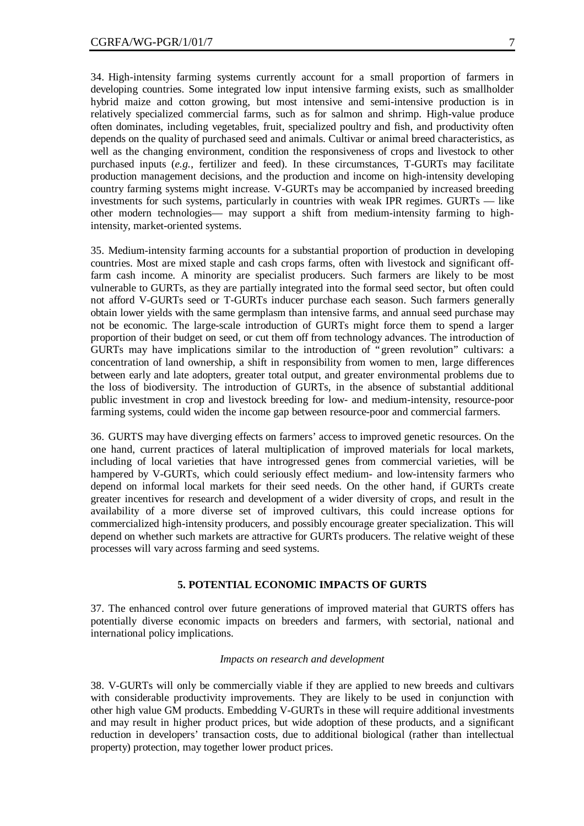34. High-intensity farming systems currently account for a small proportion of farmers in developing countries. Some integrated low input intensive farming exists, such as smallholder hybrid maize and cotton growing, but most intensive and semi-intensive production is in relatively specialized commercial farms, such as for salmon and shrimp. High-value produce often dominates, including vegetables, fruit, specialized poultry and fish, and productivity often depends on the quality of purchased seed and animals. Cultivar or animal breed characteristics, as well as the changing environment, condition the responsiveness of crops and livestock to other purchased inputs (*e.g.*, fertilizer and feed). In these circumstances, T-GURTs may facilitate production management decisions, and the production and income on high-intensity developing country farming systems might increase. V-GURTs may be accompanied by increased breeding investments for such systems, particularly in countries with weak IPR regimes. GURTs — like other modern technologies— may support a shift from medium-intensity farming to highintensity, market-oriented systems.

35. Medium-intensity farming accounts for a substantial proportion of production in developing countries. Most are mixed staple and cash crops farms, often with livestock and significant offfarm cash income. A minority are specialist producers. Such farmers are likely to be most vulnerable to GURTs, as they are partially integrated into the formal seed sector, but often could not afford V-GURTs seed or T-GURTs inducer purchase each season. Such farmers generally obtain lower yields with the same germplasm than intensive farms, and annual seed purchase may not be economic. The large-scale introduction of GURTs might force them to spend a larger proportion of their budget on seed, or cut them off from technology advances. The introduction of GURTs may have implications similar to the introduction of "green revolution" cultivars: a concentration of land ownership, a shift in responsibility from women to men, large differences between early and late adopters, greater total output, and greater environmental problems due to the loss of biodiversity. The introduction of GURTs, in the absence of substantial additional public investment in crop and livestock breeding for low- and medium-intensity, resource-poor farming systems, could widen the income gap between resource-poor and commercial farmers.

36. GURTS may have diverging effects on farmers' access to improved genetic resources. On the one hand, current practices of lateral multiplication of improved materials for local markets, including of local varieties that have introgressed genes from commercial varieties, will be hampered by V-GURTs, which could seriously effect medium- and low-intensity farmers who depend on informal local markets for their seed needs. On the other hand, if GURTs create greater incentives for research and development of a wider diversity of crops, and result in the availability of a more diverse set of improved cultivars, this could increase options for commercialized high-intensity producers, and possibly encourage greater specialization. This will depend on whether such markets are attractive for GURTs producers. The relative weight of these processes will vary across farming and seed systems.

# **5. POTENTIAL ECONOMIC IMPACTS OF GURTS**

37. The enhanced control over future generations of improved material that GURTS offers has potentially diverse economic impacts on breeders and farmers, with sectorial, national and international policy implications.

#### *Impacts on research and development*

38. V-GURTs will only be commercially viable if they are applied to new breeds and cultivars with considerable productivity improvements. They are likely to be used in conjunction with other high value GM products. Embedding V-GURTs in these will require additional investments and may result in higher product prices, but wide adoption of these products, and a significant reduction in developers' transaction costs, due to additional biological (rather than intellectual property) protection, may together lower product prices.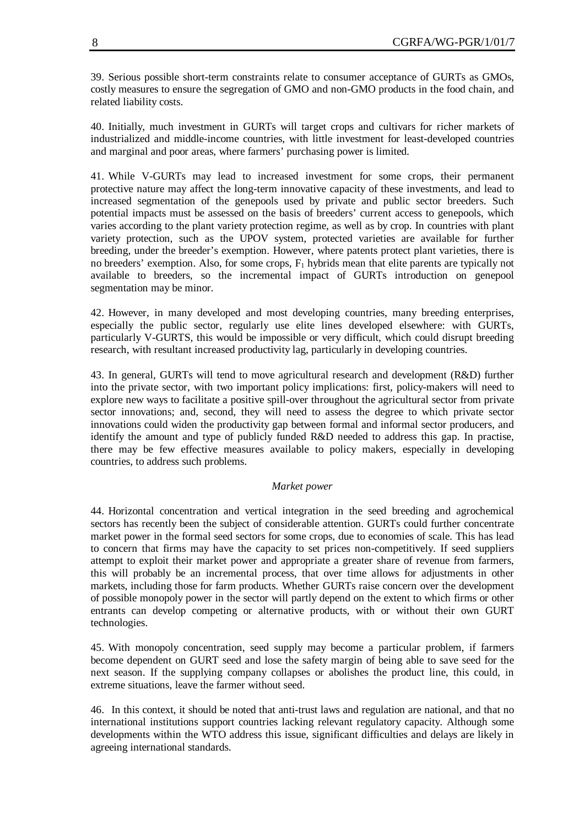39. Serious possible short-term constraints relate to consumer acceptance of GURTs as GMOs, costly measures to ensure the segregation of GMO and non-GMO products in the food chain, and related liability costs.

40. Initially, much investment in GURTs will target crops and cultivars for richer markets of industrialized and middle-income countries, with little investment for least-developed countries and marginal and poor areas, where farmers' purchasing power is limited.

41. While V-GURTs may lead to increased investment for some crops, their permanent protective nature may affect the long-term innovative capacity of these investments, and lead to increased segmentation of the genepools used by private and public sector breeders. Such potential impacts must be assessed on the basis of breeders' current access to genepools, which varies according to the plant variety protection regime, as well as by crop. In countries with plant variety protection, such as the UPOV system, protected varieties are available for further breeding, under the breeder's exemption. However, where patents protect plant varieties, there is no breeders' exemption. Also, for some crops,  $F_1$  hybrids mean that elite parents are typically not available to breeders, so the incremental impact of GURTs introduction on genepool segmentation may be minor.

42. However, in many developed and most developing countries, many breeding enterprises, especially the public sector, regularly use elite lines developed elsewhere: with GURTs, particularly V-GURTS, this would be impossible or very difficult, which could disrupt breeding research, with resultant increased productivity lag, particularly in developing countries.

43. In general, GURTs will tend to move agricultural research and development (R&D) further into the private sector, with two important policy implications: first, policy-makers will need to explore new ways to facilitate a positive spill-over throughout the agricultural sector from private sector innovations; and, second, they will need to assess the degree to which private sector innovations could widen the productivity gap between formal and informal sector producers, and identify the amount and type of publicly funded R&D needed to address this gap. In practise, there may be few effective measures available to policy makers, especially in developing countries, to address such problems.

#### *Market power*

44. Horizontal concentration and vertical integration in the seed breeding and agrochemical sectors has recently been the subject of considerable attention. GURTs could further concentrate market power in the formal seed sectors for some crops, due to economies of scale. This has lead to concern that firms may have the capacity to set prices non-competitively. If seed suppliers attempt to exploit their market power and appropriate a greater share of revenue from farmers, this will probably be an incremental process, that over time allows for adjustments in other markets, including those for farm products. Whether GURTs raise concern over the development of possible monopoly power in the sector will partly depend on the extent to which firms or other entrants can develop competing or alternative products, with or without their own GURT technologies.

45. With monopoly concentration, seed supply may become a particular problem, if farmers become dependent on GURT seed and lose the safety margin of being able to save seed for the next season. If the supplying company collapses or abolishes the product line, this could, in extreme situations, leave the farmer without seed.

46. In this context, it should be noted that anti-trust laws and regulation are national, and that no international institutions support countries lacking relevant regulatory capacity. Although some developments within the WTO address this issue, significant difficulties and delays are likely in agreeing international standards.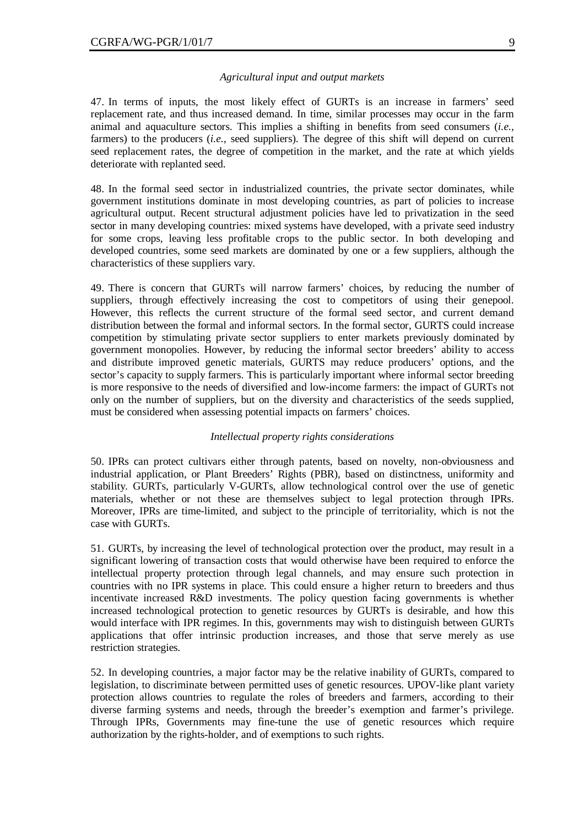#### *Agricultural input and output markets*

47. In terms of inputs, the most likely effect of GURTs is an increase in farmers' seed replacement rate, and thus increased demand. In time, similar processes may occur in the farm animal and aquaculture sectors. This implies a shifting in benefits from seed consumers (*i.e.*, farmers) to the producers (*i.e.*, seed suppliers). The degree of this shift will depend on current seed replacement rates, the degree of competition in the market, and the rate at which yields deteriorate with replanted seed.

48. In the formal seed sector in industrialized countries, the private sector dominates, while government institutions dominate in most developing countries, as part of policies to increase agricultural output. Recent structural adjustment policies have led to privatization in the seed sector in many developing countries: mixed systems have developed, with a private seed industry for some crops, leaving less profitable crops to the public sector. In both developing and developed countries, some seed markets are dominated by one or a few suppliers, although the characteristics of these suppliers vary.

49. There is concern that GURTs will narrow farmers' choices, by reducing the number of suppliers, through effectively increasing the cost to competitors of using their genepool. However, this reflects the current structure of the formal seed sector, and current demand distribution between the formal and informal sectors. In the formal sector, GURTS could increase competition by stimulating private sector suppliers to enter markets previously dominated by government monopolies. However, by reducing the informal sector breeders' ability to access and distribute improved genetic materials, GURTS may reduce producers' options, and the sector's capacity to supply farmers. This is particularly important where informal sector breeding is more responsive to the needs of diversified and low-income farmers: the impact of GURTs not only on the number of suppliers, but on the diversity and characteristics of the seeds supplied, must be considered when assessing potential impacts on farmers' choices.

#### *Intellectual property rights considerations*

50. IPRs can protect cultivars either through patents, based on novelty, non-obviousness and industrial application, or Plant Breeders' Rights (PBR), based on distinctness, uniformity and stability. GURTs, particularly V-GURTs, allow technological control over the use of genetic materials, whether or not these are themselves subject to legal protection through IPRs. Moreover, IPRs are time-limited, and subject to the principle of territoriality, which is not the case with GURTs.

51. GURTs, by increasing the level of technological protection over the product, may result in a significant lowering of transaction costs that would otherwise have been required to enforce the intellectual property protection through legal channels, and may ensure such protection in countries with no IPR systems in place. This could ensure a higher return to breeders and thus incentivate increased R&D investments. The policy question facing governments is whether increased technological protection to genetic resources by GURTs is desirable, and how this would interface with IPR regimes. In this, governments may wish to distinguish between GURTs applications that offer intrinsic production increases, and those that serve merely as use restriction strategies.

52. In developing countries, a major factor may be the relative inability of GURTs, compared to legislation, to discriminate between permitted uses of genetic resources. UPOV-like plant variety protection allows countries to regulate the roles of breeders and farmers, according to their diverse farming systems and needs, through the breeder's exemption and farmer's privilege. Through IPRs, Governments may fine-tune the use of genetic resources which require authorization by the rights-holder, and of exemptions to such rights.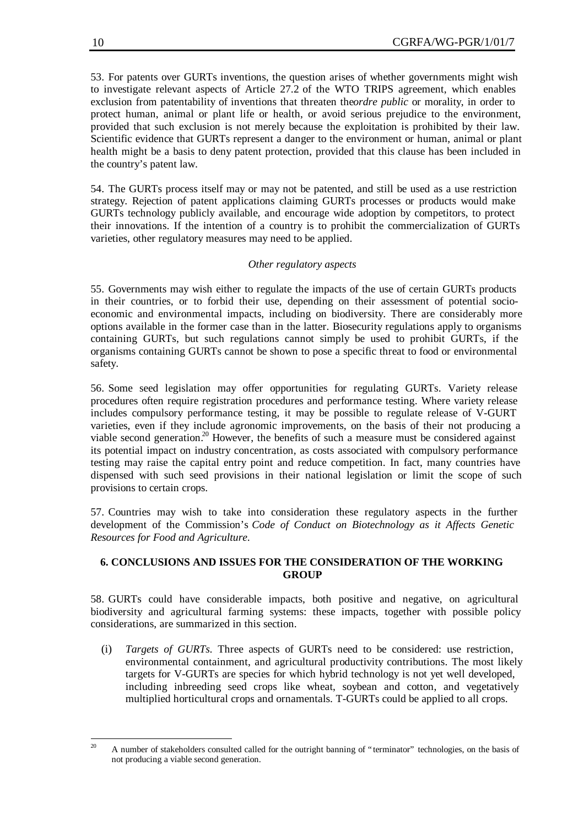53. For patents over GURTs inventions, the question arises of whether governments might wish to investigate relevant aspects of Article 27.2 of the WTO TRIPS agreement, which enables exclusion from patentability of inventions that threaten the *ordre public* or morality, in order to protect human, animal or plant life or health, or avoid serious prejudice to the environment, provided that such exclusion is not merely because the exploitation is prohibited by their law. Scientific evidence that GURTs represent a danger to the environment or human, animal or plant health might be a basis to deny patent protection, provided that this clause has been included in the country's patent law.

54. The GURTs process itself may or may not be patented, and still be used as a use restriction strategy. Rejection of patent applications claiming GURTs processes or products would make GURTs technology publicly available, and encourage wide adoption by competitors, to protect their innovations. If the intention of a country is to prohibit the commercialization of GURTs varieties, other regulatory measures may need to be applied.

# *Other regulatory aspects*

55. Governments may wish either to regulate the impacts of the use of certain GURTs products in their countries, or to forbid their use, depending on their assessment of potential socioeconomic and environmental impacts, including on biodiversity. There are considerably more options available in the former case than in the latter. Biosecurity regulations apply to organisms containing GURTs, but such regulations cannot simply be used to prohibit GURTs, if the organisms containing GURTs cannot be shown to pose a specific threat to food or environmental safety.

56. Some seed legislation may offer opportunities for regulating GURTs. Variety release procedures often require registration procedures and performance testing. Where variety release includes compulsory performance testing, it may be possible to regulate release of V-GURT varieties, even if they include agronomic improvements, on the basis of their not producing a viable second generation.<sup>20</sup> However, the benefits of such a measure must be considered against its potential impact on industry concentration, as costs associated with compulsory performance testing may raise the capital entry point and reduce competition. In fact, many countries have dispensed with such seed provisions in their national legislation or limit the scope of such provisions to certain crops.

57. Countries may wish to take into consideration these regulatory aspects in the further development of the Commission's *Code of Conduct on Biotechnology as it Affects Genetic Resources for Food and Agriculture*.

# **6. CONCLUSIONS AND ISSUES FOR THE CONSIDERATION OF THE WORKING GROUP**

58. GURTs could have considerable impacts, both positive and negative, on agricultural biodiversity and agricultural farming systems: these impacts, together with possible policy considerations, are summarized in this section.

(i) *Targets of GURTs.* Three aspects of GURTs need to be considered: use restriction, environmental containment, and agricultural productivity contributions. The most likely targets for V-GURTs are species for which hybrid technology is not yet well developed, including inbreeding seed crops like wheat, soybean and cotton, and vegetatively multiplied horticultural crops and ornamentals. T-GURTs could be applied to all crops.

 $\overline{20}$ <sup>20</sup> A number of stakeholders consulted called for the outright banning of "terminator" technologies, on the basis of not producing a viable second generation.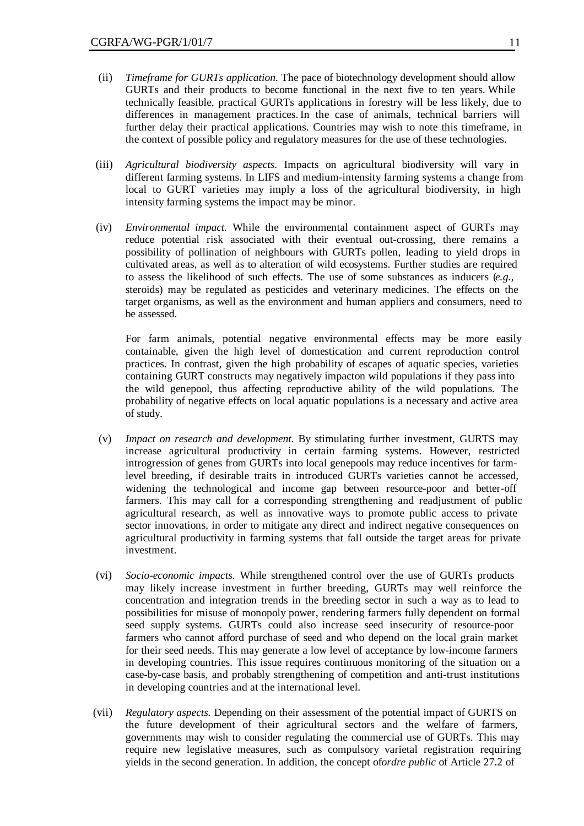- (ii) *Timeframe for GURTs application*. The pace of biotechnology development should allow GURTs and their products to become functional in the next five to ten years. While technically feasible, practical GURTs applications in forestry will be less likely, due to differences in management practices. In the case of animals, technical barriers will further delay their practical applications. Countries may wish to note this timeframe, in the context of possible policy and regulatory measures for the use of these technologies.
- (iii) *Agricultural biodiversity aspects.* Impacts on agricultural biodiversity will vary in different farming systems. In LIFS and medium-intensity farming systems a change from local to GURT varieties may imply a loss of the agricultural biodiversity, in high intensity farming systems the impact may be minor.
- (iv) *Environmental impact.* While the environmental containment aspect of GURTs may reduce potential risk associated with their eventual out-crossing, there remains a possibility of pollination of neighbours with GURTs pollen, leading to yield drops in cultivated areas, as well as to alteration of wild ecosystems. Further studies are required to assess the likelihood of such effects. The use of some substances as inducers (*e.g.*, steroids) may be regulated as pesticides and veterinary medicines. The effects on the target organisms, as well as the environment and human appliers and consumers, need to be assessed.

For farm animals, potential negative environmental effects may be more easily containable, given the high level of domestication and current reproduction control practices. In contrast, given the high probability of escapes of aquatic species, varieties containing GURT constructs may negatively impacton wild populations if they pass into the wild genepool, thus affecting reproductive ability of the wild populations. The probability of negative effects on local aquatic populations is a necessary and active area of study.

- (v) *Impact on research and development.* By stimulating further investment, GURTS may increase agricultural productivity in certain farming systems. However, restricted introgression of genes from GURTs into local genepools may reduce incentives for farmlevel breeding, if desirable traits in introduced GURTs varieties cannot be accessed, widening the technological and income gap between resource-poor and better-off farmers. This may call for a corresponding strengthening and readjustment of public agricultural research, as well as innovative ways to promote public access to private sector innovations, in order to mitigate any direct and indirect negative consequences on agricultural productivity in farming systems that fall outside the target areas for private investment.
- (vi) *Socio-economic impacts.* While strengthened control over the use of GURTs products may likely increase investment in further breeding, GURTs may well reinforce the concentration and integration trends in the breeding sector in such a way as to lead to possibilities for misuse of monopoly power, rendering farmers fully dependent on formal seed supply systems. GURTs could also increase seed insecurity of resource-poor farmers who cannot afford purchase of seed and who depend on the local grain market for their seed needs. This may generate a low level of acceptance by low-income farmers in developing countries. This issue requires continuous monitoring of the situation on a case-by-case basis, and probably strengthening of competition and anti-trust institutions in developing countries and at the international level.
- (vii) *Regulatory aspects.* Depending on their assessment of the potential impact of GURTS on the future development of their agricultural sectors and the welfare of farmers, governments may wish to consider regulating the commercial use of GURTs. This may require new legislative measures, such as compulsory varietal registration requiring yields in the second generation. In addition, the concept of *ordre public* of Article 27.2 of